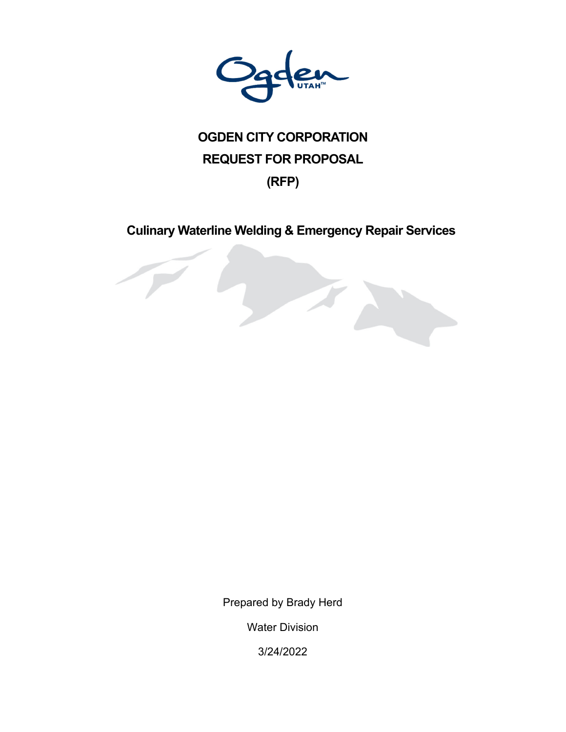

# **OGDEN CITY CORPORATION REQUEST FOR PROPOSAL**

# **(RFP)**

# **Culinary Waterline Welding & Emergency Repair Services**

**CONTRACTOR** 

Prepared by Brady Herd

Water Division

3/24/2022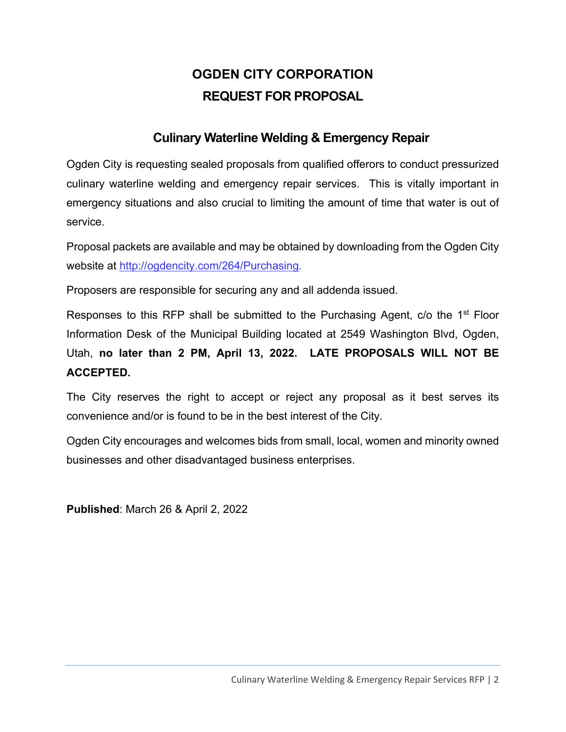# **OGDEN CITY CORPORATION REQUEST FOR PROPOSAL**

# **Culinary Waterline Welding & Emergency Repair**

Ogden City is requesting sealed proposals from qualified offerors to conduct pressurized culinary waterline welding and emergency repair services. This is vitally important in emergency situations and also crucial to limiting the amount of time that water is out of service.

Proposal packets are available and may be obtained by downloading from the Ogden City website at http://ogdencity.com/264/Purchasing.

Proposers are responsible for securing any and all addenda issued.

Responses to this RFP shall be submitted to the Purchasing Agent, c/o the 1<sup>st</sup> Floor Information Desk of the Municipal Building located at 2549 Washington Blvd, Ogden, Utah, **no later than 2 PM, April 13, 2022. LATE PROPOSALS WILL NOT BE ACCEPTED.** 

The City reserves the right to accept or reject any proposal as it best serves its convenience and/or is found to be in the best interest of the City.

Ogden City encourages and welcomes bids from small, local, women and minority owned businesses and other disadvantaged business enterprises.

**Published**: March 26 & April 2, 2022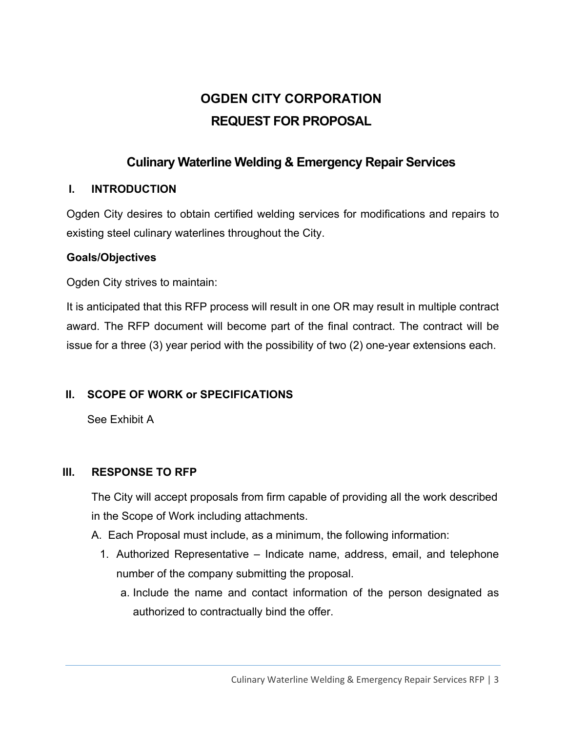# **OGDEN CITY CORPORATION REQUEST FOR PROPOSAL**

# **Culinary Waterline Welding & Emergency Repair Services**

#### **I. INTRODUCTION**

Ogden City desires to obtain certified welding services for modifications and repairs to existing steel culinary waterlines throughout the City.

#### **Goals/Objectives**

Ogden City strives to maintain:

It is anticipated that this RFP process will result in one OR may result in multiple contract award. The RFP document will become part of the final contract. The contract will be issue for a three (3) year period with the possibility of two (2) one-year extensions each.

# **II. SCOPE OF WORK or SPECIFICATIONS**

See Exhibit A

#### **III. RESPONSE TO RFP**

The City will accept proposals from firm capable of providing all the work described in the Scope of Work including attachments.

- A. Each Proposal must include, as a minimum, the following information:
	- 1. Authorized Representative Indicate name, address, email, and telephone number of the company submitting the proposal.
		- a. Include the name and contact information of the person designated as authorized to contractually bind the offer.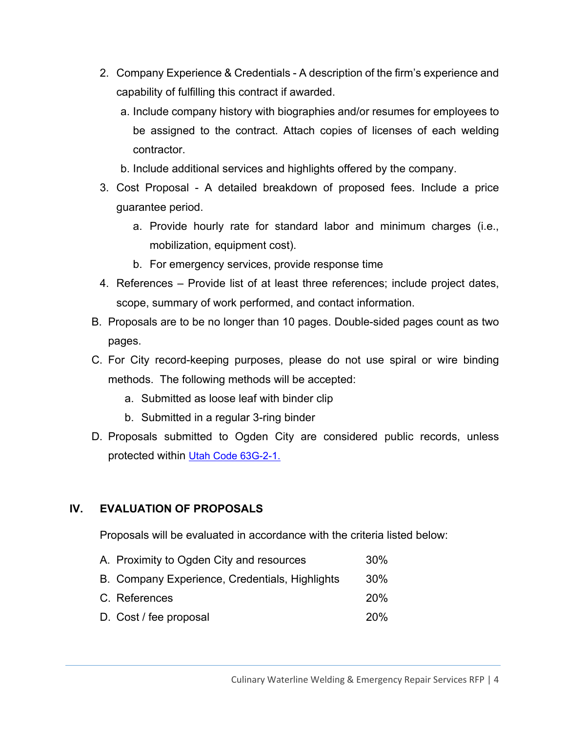- 2. Company Experience & Credentials A description of the firm's experience and capability of fulfilling this contract if awarded.
	- a. Include company history with biographies and/or resumes for employees to be assigned to the contract. Attach copies of licenses of each welding contractor.
	- b. Include additional services and highlights offered by the company.
- 3. Cost Proposal A detailed breakdown of proposed fees. Include a price guarantee period.
	- a. Provide hourly rate for standard labor and minimum charges (i.e., mobilization, equipment cost).
	- b. For emergency services, provide response time
- 4. References Provide list of at least three references; include project dates, scope, summary of work performed, and contact information.
- B. Proposals are to be no longer than 10 pages. Double-sided pages count as two pages.
- C. For City record-keeping purposes, please do not use spiral or wire binding methods. The following methods will be accepted:
	- a. Submitted as loose leaf with binder clip
	- b. Submitted in a regular 3-ring binder
- D. Proposals submitted to Ogden City are considered public records, unless protected within Utah Code 63G-2-1.

#### **IV. EVALUATION OF PROPOSALS**

Proposals will be evaluated in accordance with the criteria listed below:

A. Proximity to Ogden City and resources 30% B. Company Experience, Credentials, Highlights 30% C. References 20% D. Cost / fee proposal 20%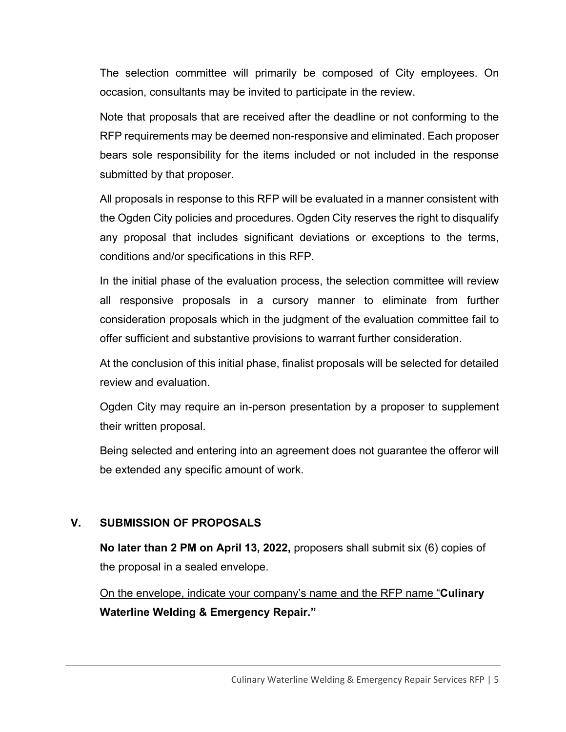The selection committee will primarily be composed of City employees. On occasion, consultants may be invited to participate in the review.

Note that proposals that are received after the deadline or not conforming to the RFP requirements may be deemed non-responsive and eliminated. Each proposer bears sole responsibility for the items included or not included in the response submitted by that proposer.

All proposals in response to this RFP will be evaluated in a manner consistent with the Ogden City policies and procedures. Ogden City reserves the right to disqualify any proposal that includes significant deviations or exceptions to the terms, conditions and/or specifications in this RFP.

In the initial phase of the evaluation process, the selection committee will review all responsive proposals in a cursory manner to eliminate from further consideration proposals which in the judgment of the evaluation committee fail to offer sufficient and substantive provisions to warrant further consideration.

At the conclusion of this initial phase, finalist proposals will be selected for detailed review and evaluation.

Ogden City may require an in-person presentation by a proposer to supplement their written proposal.

Being selected and entering into an agreement does not guarantee the offeror will be extended any specific amount of work.

#### **V. SUBMISSION OF PROPOSALS**

**No later than 2 PM on April 13, 2022,** proposers shall submit six (6) copies of the proposal in a sealed envelope.

On the envelope, indicate your company's name and the RFP name "**Culinary Waterline Welding & Emergency Repair."**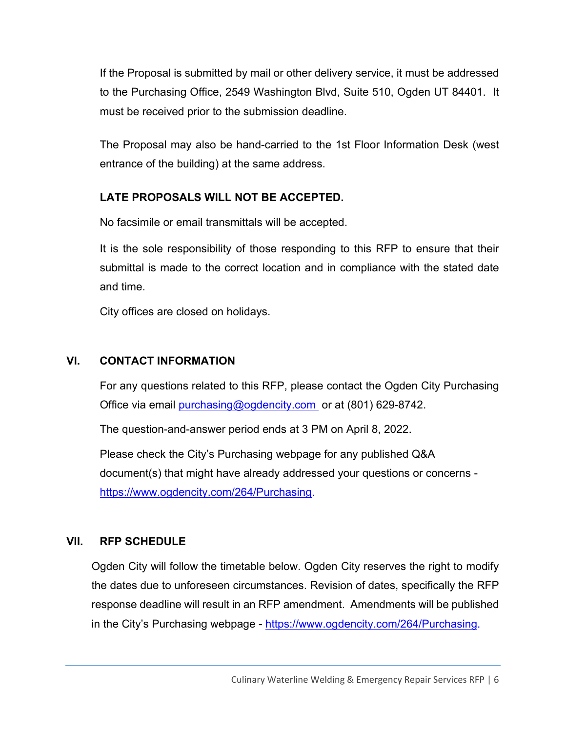If the Proposal is submitted by mail or other delivery service, it must be addressed to the Purchasing Office, 2549 Washington Blvd, Suite 510, Ogden UT 84401. It must be received prior to the submission deadline.

The Proposal may also be hand-carried to the 1st Floor Information Desk (west entrance of the building) at the same address.

#### **LATE PROPOSALS WILL NOT BE ACCEPTED.**

No facsimile or email transmittals will be accepted.

It is the sole responsibility of those responding to this RFP to ensure that their submittal is made to the correct location and in compliance with the stated date and time.

City offices are closed on holidays.

#### **VI. CONTACT INFORMATION**

For any questions related to this RFP, please contact the Ogden City Purchasing Office via email purchasing@ogdencity.com or at (801) 629-8742.

The question-and-answer period ends at 3 PM on April 8, 2022.

Please check the City's Purchasing webpage for any published Q&A document(s) that might have already addressed your questions or concerns https://www.ogdencity.com/264/Purchasing.

#### **VII. RFP SCHEDULE**

Ogden City will follow the timetable below. Ogden City reserves the right to modify the dates due to unforeseen circumstances. Revision of dates, specifically the RFP response deadline will result in an RFP amendment. Amendments will be published in the City's Purchasing webpage - https://www.ogdencity.com/264/Purchasing.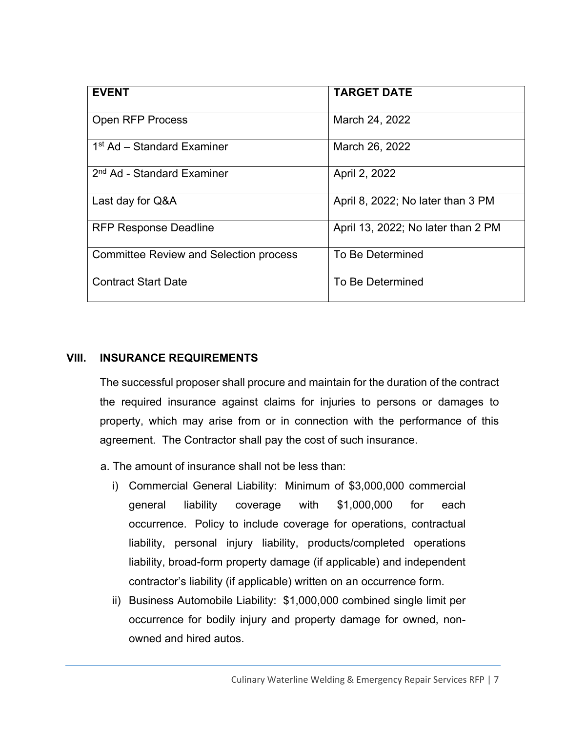| <b>TARGET DATE</b>                 |
|------------------------------------|
|                                    |
|                                    |
| March 24, 2022                     |
|                                    |
| March 26, 2022                     |
|                                    |
| April 2, 2022                      |
|                                    |
| April 8, 2022; No later than 3 PM  |
|                                    |
| April 13, 2022; No later than 2 PM |
|                                    |
| To Be Determined                   |
|                                    |
| To Be Determined                   |
|                                    |
|                                    |

#### **VIII. INSURANCE REQUIREMENTS**

The successful proposer shall procure and maintain for the duration of the contract the required insurance against claims for injuries to persons or damages to property, which may arise from or in connection with the performance of this agreement. The Contractor shall pay the cost of such insurance.

- a. The amount of insurance shall not be less than:
	- i) Commercial General Liability: Minimum of \$3,000,000 commercial general liability coverage with \$1,000,000 for each occurrence. Policy to include coverage for operations, contractual liability, personal injury liability, products/completed operations liability, broad-form property damage (if applicable) and independent contractor's liability (if applicable) written on an occurrence form.
	- ii) Business Automobile Liability: \$1,000,000 combined single limit per occurrence for bodily injury and property damage for owned, nonowned and hired autos.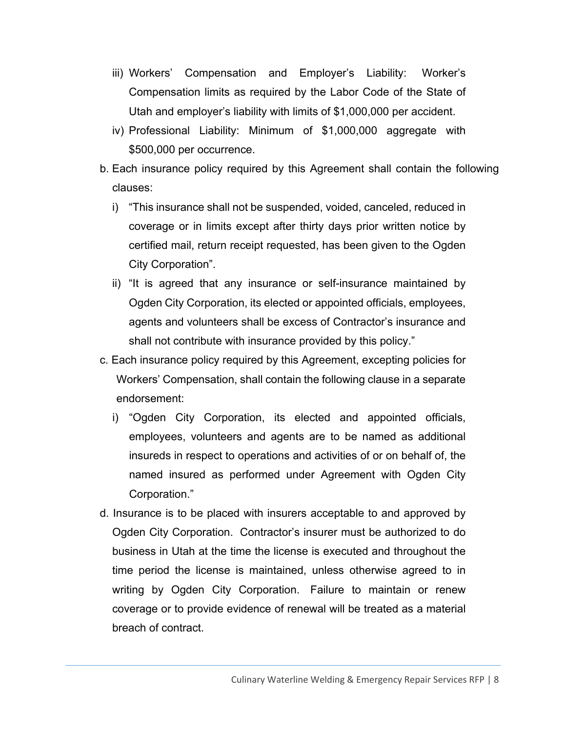- iii) Workers' Compensation and Employer's Liability: Worker's Compensation limits as required by the Labor Code of the State of Utah and employer's liability with limits of \$1,000,000 per accident.
- iv) Professional Liability: Minimum of \$1,000,000 aggregate with \$500,000 per occurrence.
- b. Each insurance policy required by this Agreement shall contain the following clauses:
	- i) "This insurance shall not be suspended, voided, canceled, reduced in coverage or in limits except after thirty days prior written notice by certified mail, return receipt requested, has been given to the Ogden City Corporation".
	- ii) "It is agreed that any insurance or self-insurance maintained by Ogden City Corporation, its elected or appointed officials, employees, agents and volunteers shall be excess of Contractor's insurance and shall not contribute with insurance provided by this policy."
- c. Each insurance policy required by this Agreement, excepting policies for Workers' Compensation, shall contain the following clause in a separate endorsement:
	- i) "Ogden City Corporation, its elected and appointed officials, employees, volunteers and agents are to be named as additional insureds in respect to operations and activities of or on behalf of, the named insured as performed under Agreement with Ogden City Corporation."
- d. Insurance is to be placed with insurers acceptable to and approved by Ogden City Corporation. Contractor's insurer must be authorized to do business in Utah at the time the license is executed and throughout the time period the license is maintained, unless otherwise agreed to in writing by Ogden City Corporation. Failure to maintain or renew coverage or to provide evidence of renewal will be treated as a material breach of contract.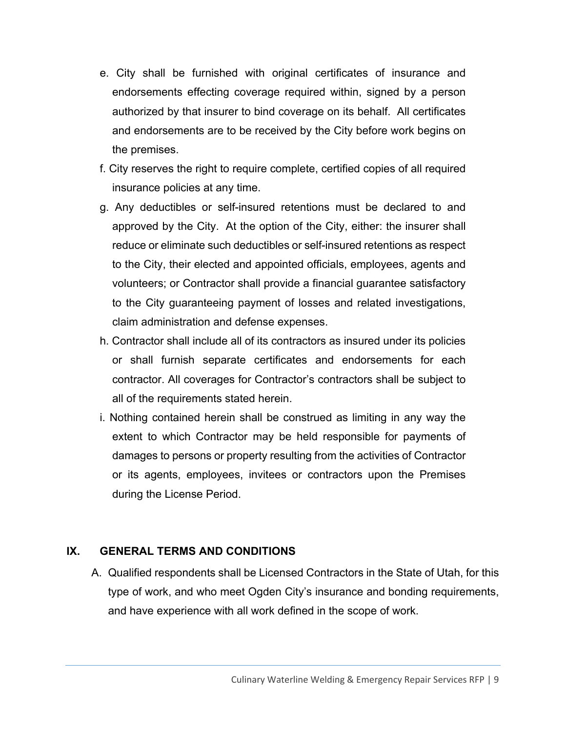- e. City shall be furnished with original certificates of insurance and endorsements effecting coverage required within, signed by a person authorized by that insurer to bind coverage on its behalf. All certificates and endorsements are to be received by the City before work begins on the premises.
- f. City reserves the right to require complete, certified copies of all required insurance policies at any time.
- g. Any deductibles or self-insured retentions must be declared to and approved by the City. At the option of the City, either: the insurer shall reduce or eliminate such deductibles or self-insured retentions as respect to the City, their elected and appointed officials, employees, agents and volunteers; or Contractor shall provide a financial guarantee satisfactory to the City guaranteeing payment of losses and related investigations, claim administration and defense expenses.
- h. Contractor shall include all of its contractors as insured under its policies or shall furnish separate certificates and endorsements for each contractor. All coverages for Contractor's contractors shall be subject to all of the requirements stated herein.
- i. Nothing contained herein shall be construed as limiting in any way the extent to which Contractor may be held responsible for payments of damages to persons or property resulting from the activities of Contractor or its agents, employees, invitees or contractors upon the Premises during the License Period.

#### **IX. GENERAL TERMS AND CONDITIONS**

A. Qualified respondents shall be Licensed Contractors in the State of Utah, for this type of work, and who meet Ogden City's insurance and bonding requirements, and have experience with all work defined in the scope of work.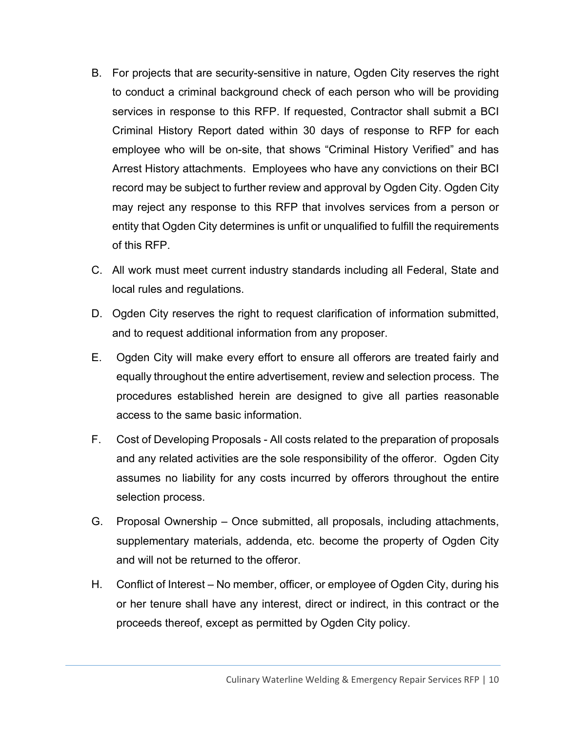- B. For projects that are security-sensitive in nature, Ogden City reserves the right to conduct a criminal background check of each person who will be providing services in response to this RFP. If requested, Contractor shall submit a BCI Criminal History Report dated within 30 days of response to RFP for each employee who will be on-site, that shows "Criminal History Verified" and has Arrest History attachments. Employees who have any convictions on their BCI record may be subject to further review and approval by Ogden City. Ogden City may reject any response to this RFP that involves services from a person or entity that Ogden City determines is unfit or unqualified to fulfill the requirements of this RFP.
- C. All work must meet current industry standards including all Federal, State and local rules and regulations.
- D. Ogden City reserves the right to request clarification of information submitted, and to request additional information from any proposer.
- E. Ogden City will make every effort to ensure all offerors are treated fairly and equally throughout the entire advertisement, review and selection process. The procedures established herein are designed to give all parties reasonable access to the same basic information.
- F. Cost of Developing Proposals All costs related to the preparation of proposals and any related activities are the sole responsibility of the offeror. Ogden City assumes no liability for any costs incurred by offerors throughout the entire selection process.
- G. Proposal Ownership Once submitted, all proposals, including attachments, supplementary materials, addenda, etc. become the property of Ogden City and will not be returned to the offeror.
- H. Conflict of Interest No member, officer, or employee of Ogden City, during his or her tenure shall have any interest, direct or indirect, in this contract or the proceeds thereof, except as permitted by Ogden City policy.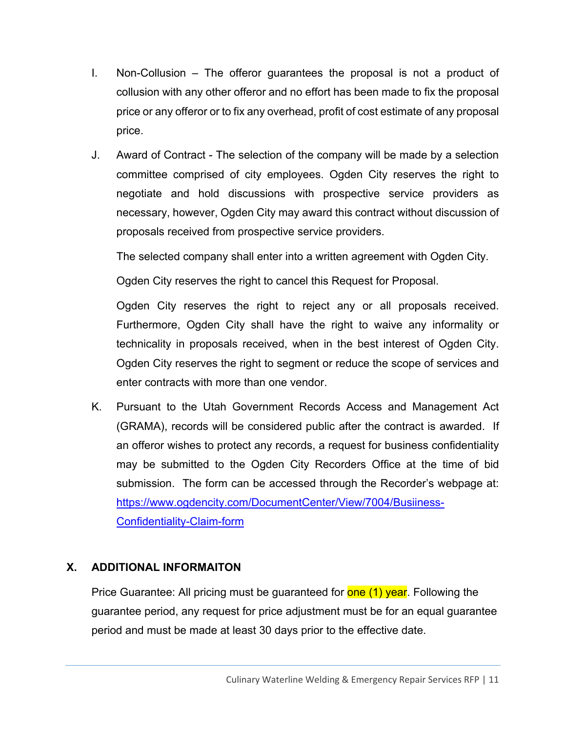- I. Non-Collusion The offeror guarantees the proposal is not a product of collusion with any other offeror and no effort has been made to fix the proposal price or any offeror or to fix any overhead, profit of cost estimate of any proposal price.
- J. Award of Contract The selection of the company will be made by a selection committee comprised of city employees. Ogden City reserves the right to negotiate and hold discussions with prospective service providers as necessary, however, Ogden City may award this contract without discussion of proposals received from prospective service providers.

The selected company shall enter into a written agreement with Ogden City.

Ogden City reserves the right to cancel this Request for Proposal.

Ogden City reserves the right to reject any or all proposals received. Furthermore, Ogden City shall have the right to waive any informality or technicality in proposals received, when in the best interest of Ogden City. Ogden City reserves the right to segment or reduce the scope of services and enter contracts with more than one vendor.

K. Pursuant to the Utah Government Records Access and Management Act (GRAMA), records will be considered public after the contract is awarded. If an offeror wishes to protect any records, a request for business confidentiality may be submitted to the Ogden City Recorders Office at the time of bid submission. The form can be accessed through the Recorder's webpage at: https://www.ogdencity.com/DocumentCenter/View/7004/Busiiness-Confidentiality-Claim-form

#### **X. ADDITIONAL INFORMAITON**

Price Guarantee: All pricing must be guaranteed for **one (1) year**. Following the guarantee period, any request for price adjustment must be for an equal guarantee period and must be made at least 30 days prior to the effective date.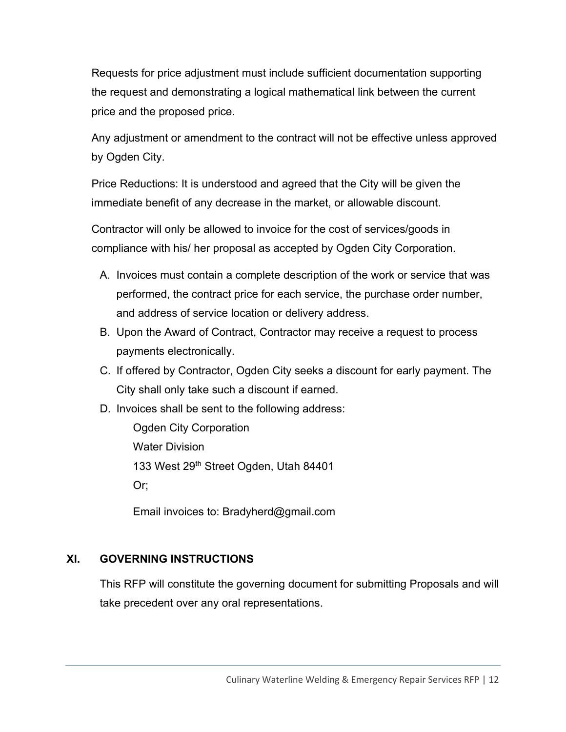Requests for price adjustment must include sufficient documentation supporting the request and demonstrating a logical mathematical link between the current price and the proposed price.

Any adjustment or amendment to the contract will not be effective unless approved by Ogden City.

Price Reductions: It is understood and agreed that the City will be given the immediate benefit of any decrease in the market, or allowable discount.

Contractor will only be allowed to invoice for the cost of services/goods in compliance with his/ her proposal as accepted by Ogden City Corporation.

- A. Invoices must contain a complete description of the work or service that was performed, the contract price for each service, the purchase order number, and address of service location or delivery address.
- B. Upon the Award of Contract, Contractor may receive a request to process payments electronically.
- C. If offered by Contractor, Ogden City seeks a discount for early payment. The City shall only take such a discount if earned.
- D. Invoices shall be sent to the following address:

 Ogden City Corporation Water Division 133 West 29<sup>th</sup> Street Ogden, Utah 84401 Or;

Email invoices to: Bradyherd@gmail.com

#### **XI. GOVERNING INSTRUCTIONS**

This RFP will constitute the governing document for submitting Proposals and will take precedent over any oral representations.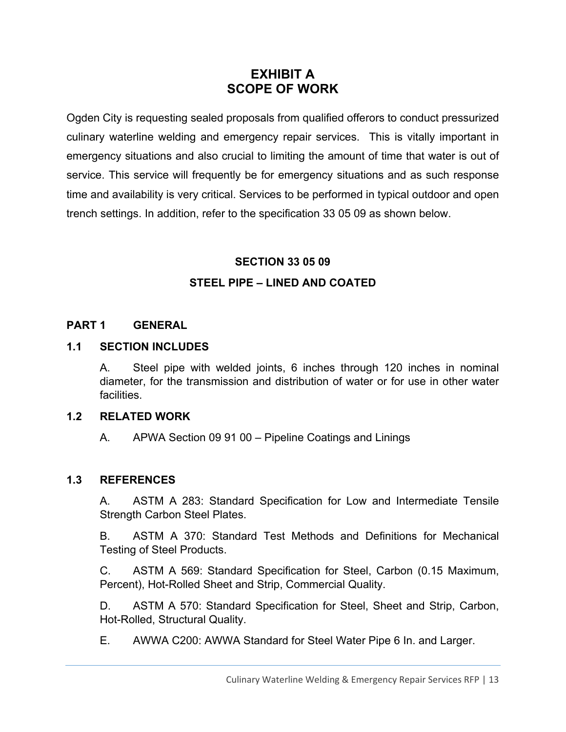# **EXHIBIT A SCOPE OF WORK**

Ogden City is requesting sealed proposals from qualified offerors to conduct pressurized culinary waterline welding and emergency repair services. This is vitally important in emergency situations and also crucial to limiting the amount of time that water is out of service. This service will frequently be for emergency situations and as such response time and availability is very critical. Services to be performed in typical outdoor and open trench settings. In addition, refer to the specification 33 05 09 as shown below.

#### **SECTION 33 05 09**

#### **STEEL PIPE – LINED AND COATED**

#### **PART 1 GENERAL**

#### **1.1 SECTION INCLUDES**

A. Steel pipe with welded joints, 6 inches through 120 inches in nominal diameter, for the transmission and distribution of water or for use in other water facilities.

#### **1.2 RELATED WORK**

A. APWA Section 09 91 00 – Pipeline Coatings and Linings

#### **1.3 REFERENCES**

A. ASTM A 283: Standard Specification for Low and Intermediate Tensile Strength Carbon Steel Plates.

B. ASTM A 370: Standard Test Methods and Definitions for Mechanical Testing of Steel Products.

C. ASTM A 569: Standard Specification for Steel, Carbon (0.15 Maximum, Percent), Hot-Rolled Sheet and Strip, Commercial Quality.

D. ASTM A 570: Standard Specification for Steel, Sheet and Strip, Carbon, Hot-Rolled, Structural Quality.

E. AWWA C200: AWWA Standard for Steel Water Pipe 6 In. and Larger.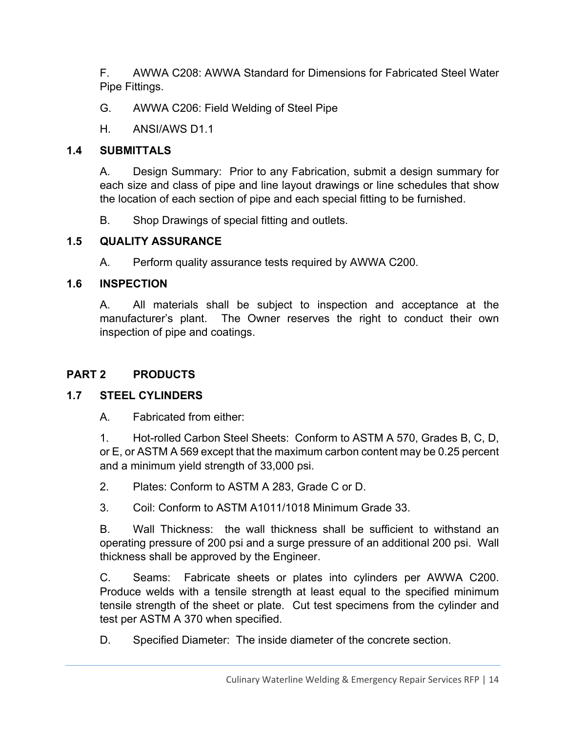F. AWWA C208: AWWA Standard for Dimensions for Fabricated Steel Water Pipe Fittings.

- G. AWWA C206: Field Welding of Steel Pipe
- H. ANSI/AWS D1.1

## **1.4 SUBMITTALS**

A. Design Summary: Prior to any Fabrication, submit a design summary for each size and class of pipe and line layout drawings or line schedules that show the location of each section of pipe and each special fitting to be furnished.

B. Shop Drawings of special fitting and outlets.

## **1.5 QUALITY ASSURANCE**

A. Perform quality assurance tests required by AWWA C200.

## **1.6 INSPECTION**

A. All materials shall be subject to inspection and acceptance at the manufacturer's plant. The Owner reserves the right to conduct their own inspection of pipe and coatings.

# **PART 2 PRODUCTS**

# **1.7 STEEL CYLINDERS**

A. Fabricated from either:

1. Hot-rolled Carbon Steel Sheets: Conform to ASTM A 570, Grades B, C, D, or E, or ASTM A 569 except that the maximum carbon content may be 0.25 percent and a minimum yield strength of 33,000 psi.

2. Plates: Conform to ASTM A 283, Grade C or D.

3. Coil: Conform to ASTM A1011/1018 Minimum Grade 33.

B. Wall Thickness: the wall thickness shall be sufficient to withstand an operating pressure of 200 psi and a surge pressure of an additional 200 psi. Wall thickness shall be approved by the Engineer.

C. Seams: Fabricate sheets or plates into cylinders per AWWA C200. Produce welds with a tensile strength at least equal to the specified minimum tensile strength of the sheet or plate. Cut test specimens from the cylinder and test per ASTM A 370 when specified.

D. Specified Diameter: The inside diameter of the concrete section.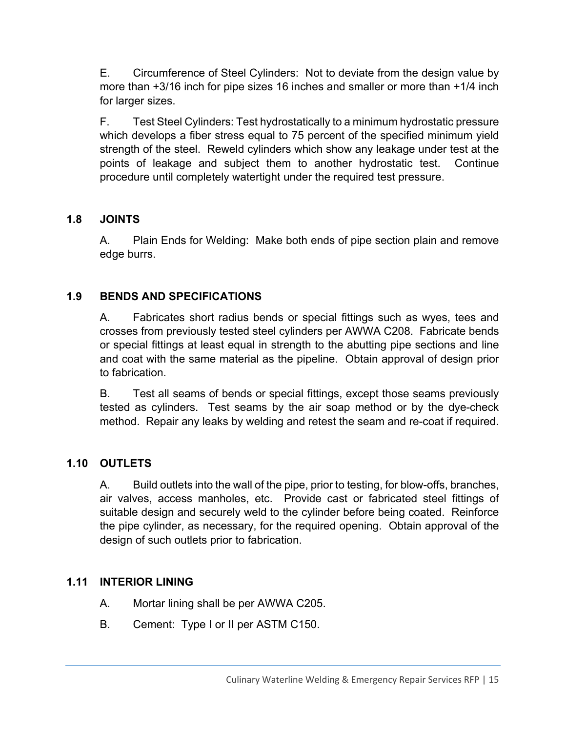E. Circumference of Steel Cylinders: Not to deviate from the design value by more than +3/16 inch for pipe sizes 16 inches and smaller or more than +1/4 inch for larger sizes.

F. Test Steel Cylinders: Test hydrostatically to a minimum hydrostatic pressure which develops a fiber stress equal to 75 percent of the specified minimum yield strength of the steel. Reweld cylinders which show any leakage under test at the points of leakage and subject them to another hydrostatic test. Continue procedure until completely watertight under the required test pressure.

#### **1.8 JOINTS**

A. Plain Ends for Welding: Make both ends of pipe section plain and remove edge burrs.

#### **1.9 BENDS AND SPECIFICATIONS**

A. Fabricates short radius bends or special fittings such as wyes, tees and crosses from previously tested steel cylinders per AWWA C208. Fabricate bends or special fittings at least equal in strength to the abutting pipe sections and line and coat with the same material as the pipeline. Obtain approval of design prior to fabrication.

B. Test all seams of bends or special fittings, except those seams previously tested as cylinders. Test seams by the air soap method or by the dye-check method. Repair any leaks by welding and retest the seam and re-coat if required.

#### **1.10 OUTLETS**

A. Build outlets into the wall of the pipe, prior to testing, for blow-offs, branches, air valves, access manholes, etc. Provide cast or fabricated steel fittings of suitable design and securely weld to the cylinder before being coated. Reinforce the pipe cylinder, as necessary, for the required opening. Obtain approval of the design of such outlets prior to fabrication.

#### **1.11 INTERIOR LINING**

- A. Mortar lining shall be per AWWA C205.
- B. Cement: Type I or II per ASTM C150.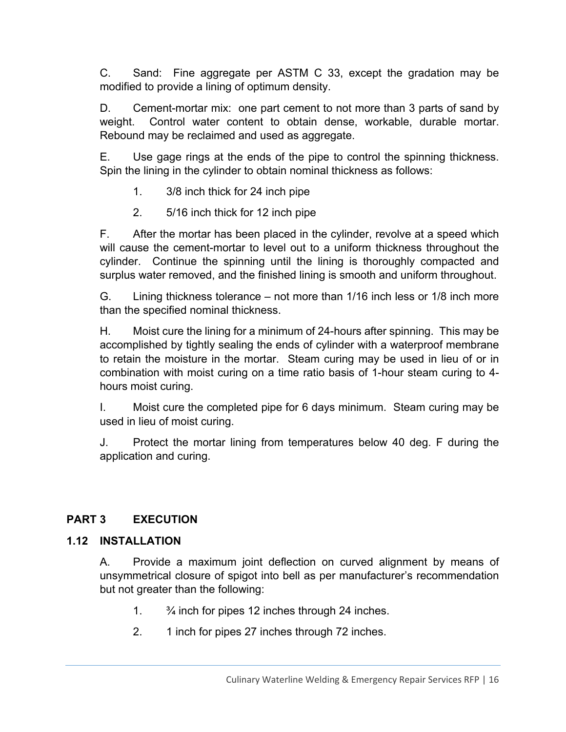C. Sand: Fine aggregate per ASTM C 33, except the gradation may be modified to provide a lining of optimum density.

D. Cement-mortar mix: one part cement to not more than 3 parts of sand by weight. Control water content to obtain dense, workable, durable mortar. Rebound may be reclaimed and used as aggregate.

E. Use gage rings at the ends of the pipe to control the spinning thickness. Spin the lining in the cylinder to obtain nominal thickness as follows:

- 1. 3/8 inch thick for 24 inch pipe
- 2. 5/16 inch thick for 12 inch pipe

F. After the mortar has been placed in the cylinder, revolve at a speed which will cause the cement-mortar to level out to a uniform thickness throughout the cylinder. Continue the spinning until the lining is thoroughly compacted and surplus water removed, and the finished lining is smooth and uniform throughout.

G. Lining thickness tolerance – not more than 1/16 inch less or 1/8 inch more than the specified nominal thickness.

H. Moist cure the lining for a minimum of 24-hours after spinning. This may be accomplished by tightly sealing the ends of cylinder with a waterproof membrane to retain the moisture in the mortar. Steam curing may be used in lieu of or in combination with moist curing on a time ratio basis of 1-hour steam curing to 4 hours moist curing.

I. Moist cure the completed pipe for 6 days minimum. Steam curing may be used in lieu of moist curing.

J. Protect the mortar lining from temperatures below 40 deg. F during the application and curing.

#### **PART 3 EXECUTION**

#### **1.12 INSTALLATION**

A. Provide a maximum joint deflection on curved alignment by means of unsymmetrical closure of spigot into bell as per manufacturer's recommendation but not greater than the following:

- 1.  $\frac{3}{4}$  inch for pipes 12 inches through 24 inches.
- 2. 1 inch for pipes 27 inches through 72 inches.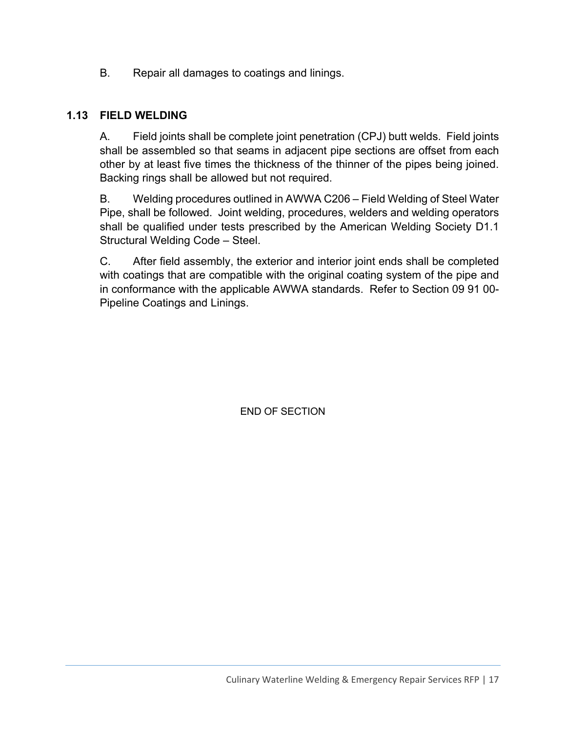B. Repair all damages to coatings and linings.

#### **1.13 FIELD WELDING**

A. Field joints shall be complete joint penetration (CPJ) butt welds. Field joints shall be assembled so that seams in adjacent pipe sections are offset from each other by at least five times the thickness of the thinner of the pipes being joined. Backing rings shall be allowed but not required.

B. Welding procedures outlined in AWWA C206 – Field Welding of Steel Water Pipe, shall be followed. Joint welding, procedures, welders and welding operators shall be qualified under tests prescribed by the American Welding Society D1.1 Structural Welding Code – Steel.

C. After field assembly, the exterior and interior joint ends shall be completed with coatings that are compatible with the original coating system of the pipe and in conformance with the applicable AWWA standards. Refer to Section 09 91 00- Pipeline Coatings and Linings.

END OF SECTION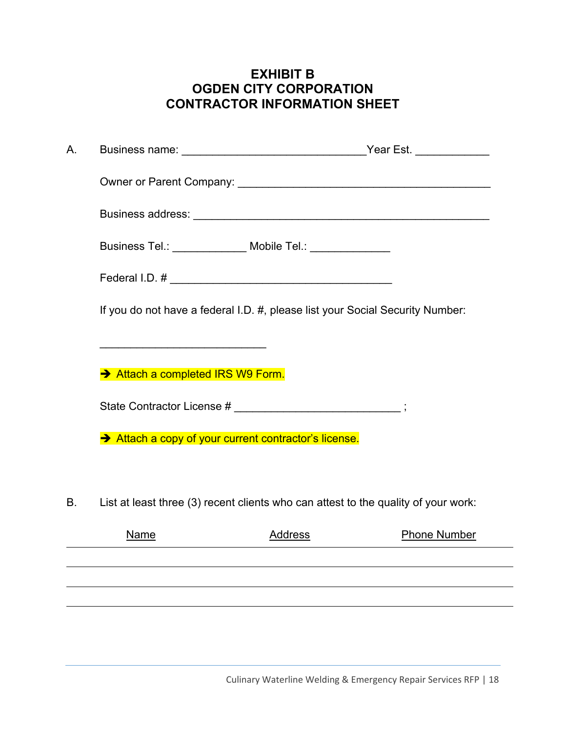# **EXHIBIT B OGDEN CITY CORPORATION CONTRACTOR INFORMATION SHEET**

| А. |                                                                                                                       |                                                                                    |  |
|----|-----------------------------------------------------------------------------------------------------------------------|------------------------------------------------------------------------------------|--|
|    |                                                                                                                       |                                                                                    |  |
|    |                                                                                                                       |                                                                                    |  |
|    |                                                                                                                       | Business Tel.: ______________ Mobile Tel.: ______________                          |  |
|    |                                                                                                                       |                                                                                    |  |
|    |                                                                                                                       | If you do not have a federal I.D. #, please list your Social Security Number:      |  |
|    | <u> 1989 - Johann Barn, mars ann an t-Amhain an t-Amhain an t-Amhain an t-Amhain an t-Amhain an t-Amhain an t-Amh</u> |                                                                                    |  |
|    | Attach a completed IRS W9 Form.                                                                                       |                                                                                    |  |
|    |                                                                                                                       | State Contractor License # ____________________________;                           |  |
|    | Attach a copy of your current contractor's license.                                                                   |                                                                                    |  |
|    |                                                                                                                       |                                                                                    |  |
| Β. |                                                                                                                       | List at least three (3) recent clients who can attest to the quality of your work: |  |
|    | Name                                                                                                                  | <b>Address</b><br><b>Phone Number</b>                                              |  |
|    |                                                                                                                       |                                                                                    |  |
|    |                                                                                                                       |                                                                                    |  |